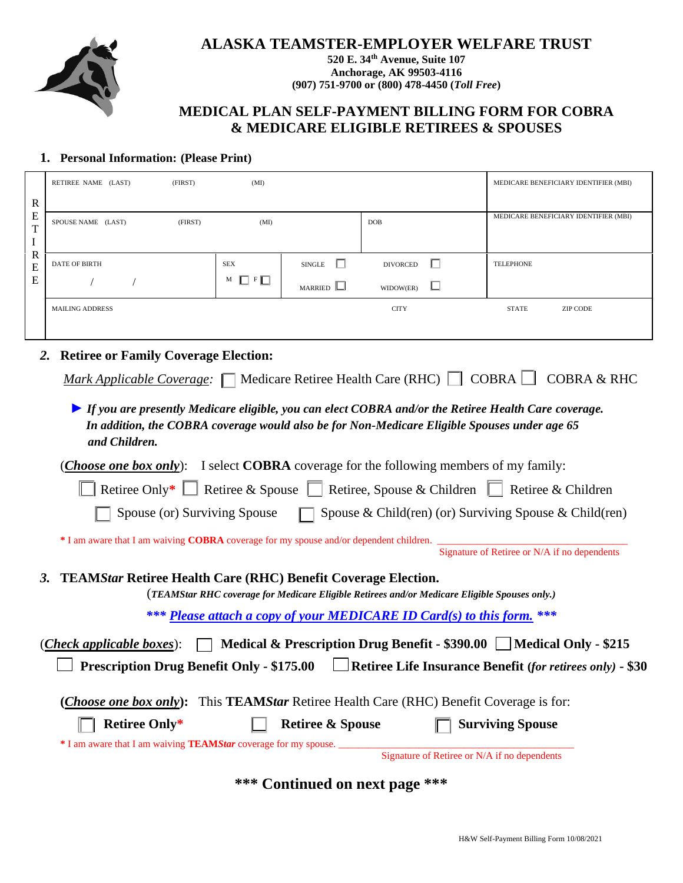

## **ALASKA TEAMSTER-EMPLOYER WELFARE TRUST**

**520 E. 34th Avenue, Suite 107 Anchorage, AK 99503-4116 (907) 751-9700 or (800) 478-4450 (***Toll Free***)**

## **MEDICAL PLAN SELF-PAYMENT BILLING FORM FOR COBRA & MEDICARE ELIGIBLE RETIREES & SPOUSES**

## **1. Personal Information: (Please Print)**

| $\mathbb{R}$<br>E<br>$\mathbf T$<br>$\bf{I}$<br>$\mathbf R$<br>E<br>E                                         | RETIREE NAME (LAST)                                                                                                    | (FIRST) | (MI)                 |                                                                                               |                 |   | MEDICARE BENEFICIARY IDENTIFIER (MBI)                                                                |  |  |  |
|---------------------------------------------------------------------------------------------------------------|------------------------------------------------------------------------------------------------------------------------|---------|----------------------|-----------------------------------------------------------------------------------------------|-----------------|---|------------------------------------------------------------------------------------------------------|--|--|--|
|                                                                                                               |                                                                                                                        |         |                      |                                                                                               |                 |   | MEDICARE BENEFICIARY IDENTIFIER (MBI)                                                                |  |  |  |
|                                                                                                               | SPOUSE NAME (LAST)                                                                                                     | (FIRST) | (MI)                 |                                                                                               | DOB             |   |                                                                                                      |  |  |  |
|                                                                                                               |                                                                                                                        |         |                      |                                                                                               |                 |   |                                                                                                      |  |  |  |
|                                                                                                               | <b>DATE OF BIRTH</b>                                                                                                   |         | <b>SEX</b>           | П<br><b>SINGLE</b>                                                                            | <b>DIVORCED</b> | П | <b>TELEPHONE</b>                                                                                     |  |  |  |
|                                                                                                               |                                                                                                                        |         | $\Box$ F $\Box$<br>М | MARRIED                                                                                       | WIDOW(ER)       | ப |                                                                                                      |  |  |  |
|                                                                                                               | <b>MAILING ADDRESS</b>                                                                                                 |         |                      |                                                                                               | <b>CITY</b>     |   | <b>STATE</b><br><b>ZIP CODE</b>                                                                      |  |  |  |
|                                                                                                               |                                                                                                                        |         |                      |                                                                                               |                 |   |                                                                                                      |  |  |  |
|                                                                                                               | <b>Retiree or Family Coverage Election:</b><br>2.                                                                      |         |                      |                                                                                               |                 |   |                                                                                                      |  |  |  |
|                                                                                                               | <i>Mark Applicable Coverage:</i> $\Box$ Medicare Retiree Health Care (RHC) $\Box$ COBRA $\Box$                         |         |                      |                                                                                               |                 |   | <b>COBRA &amp; RHC</b>                                                                               |  |  |  |
|                                                                                                               |                                                                                                                        |         |                      |                                                                                               |                 |   |                                                                                                      |  |  |  |
|                                                                                                               |                                                                                                                        |         |                      |                                                                                               |                 |   | If you are presently Medicare eligible, you can elect COBRA and/or the Retiree Health Care coverage. |  |  |  |
|                                                                                                               |                                                                                                                        |         |                      |                                                                                               |                 |   | In addition, the COBRA coverage would also be for Non-Medicare Eligible Spouses under age 65         |  |  |  |
|                                                                                                               | and Children.                                                                                                          |         |                      |                                                                                               |                 |   |                                                                                                      |  |  |  |
| ( <i>Choose one box only</i> ): I select <b>COBRA</b> coverage for the following members of my family:        |                                                                                                                        |         |                      |                                                                                               |                 |   |                                                                                                      |  |  |  |
| Retiree Only* $\Box$ Retiree & Spouse $\Box$ Retiree, Spouse & Children $\Box$<br>Retiree & Children          |                                                                                                                        |         |                      |                                                                                               |                 |   |                                                                                                      |  |  |  |
|                                                                                                               | Spouse (or) Surviving Spouse<br>Spouse & Child(ren) (or) Surviving Spouse & Child(ren)                                 |         |                      |                                                                                               |                 |   |                                                                                                      |  |  |  |
|                                                                                                               | * I am aware that I am waiving COBRA coverage for my spouse and/or dependent children.                                 |         |                      |                                                                                               |                 |   |                                                                                                      |  |  |  |
|                                                                                                               |                                                                                                                        |         |                      |                                                                                               |                 |   | Signature of Retiree or N/A if no dependents                                                         |  |  |  |
|                                                                                                               | <b>TEAMStar Retiree Health Care (RHC) Benefit Coverage Election.</b><br>3.                                             |         |                      |                                                                                               |                 |   |                                                                                                      |  |  |  |
|                                                                                                               |                                                                                                                        |         |                      | (TEAMStar RHC coverage for Medicare Eligible Retirees and/or Medicare Eligible Spouses only.) |                 |   |                                                                                                      |  |  |  |
| *** Please attach a copy of your MEDICARE ID Card(s) to this form. ***                                        |                                                                                                                        |         |                      |                                                                                               |                 |   |                                                                                                      |  |  |  |
| Medical & Prescription Drug Benefit - \$390.00   Medical Only - \$215<br>( <i>Check applicable boxes</i> ):   |                                                                                                                        |         |                      |                                                                                               |                 |   |                                                                                                      |  |  |  |
| Retiree Life Insurance Benefit (for retirees only) - \$30<br><b>Prescription Drug Benefit Only - \$175.00</b> |                                                                                                                        |         |                      |                                                                                               |                 |   |                                                                                                      |  |  |  |
| (Choose one box only): This TEAMStar Retiree Health Care (RHC) Benefit Coverage is for:                       |                                                                                                                        |         |                      |                                                                                               |                 |   |                                                                                                      |  |  |  |
|                                                                                                               |                                                                                                                        |         |                      |                                                                                               |                 |   |                                                                                                      |  |  |  |
|                                                                                                               | <b>Retiree Only*</b>                                                                                                   |         |                      | <b>Retiree &amp; Spouse</b>                                                                   |                 |   | <b>Surviving Spouse</b>                                                                              |  |  |  |
|                                                                                                               | * I am aware that I am waiving <b>TEAMStar</b> coverage for my spouse.<br>Signature of Retiree or N/A if no dependents |         |                      |                                                                                               |                 |   |                                                                                                      |  |  |  |

**\*\*\* Continued on next page \*\*\***